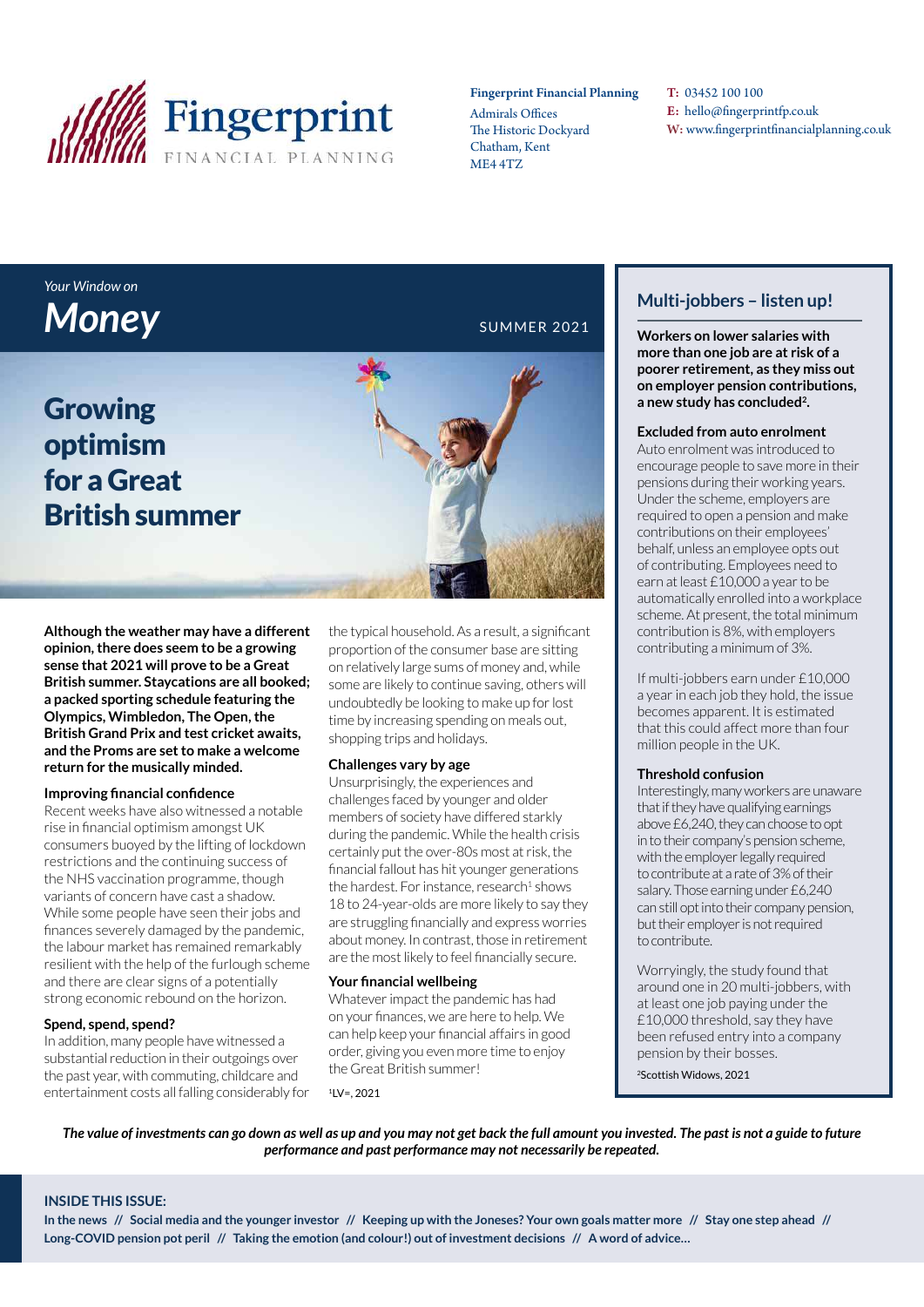

#### Fingerprint Financial Planning

Admirals Offices The Historic Dockyard Chatham, Kent ME4 4TZ

T: 03452 100 100 E: hello@fingerprintfp.co.uk W: www.fingerprintfinancialplanning.co.uk

## *Your Window on*  **Money** SUMMER 2021

Growing optimism for a Great British summer

**Although the weather may have a different opinion, there does seem to be a growing sense that 2021 will prove to be a Great British summer. Staycations are all booked; a packed sporting schedule featuring the Olympics, Wimbledon, The Open, the British Grand Prix and test cricket awaits, and the Proms are set to make a welcome return for the musically minded.**

#### **Improving financial confidence**

Recent weeks have also witnessed a notable rise in financial optimism amongst UK consumers buoyed by the lifting of lockdown restrictions and the continuing success of the NHS vaccination programme, though variants of concern have cast a shadow. While some people have seen their jobs and finances severely damaged by the pandemic, the labour market has remained remarkably resilient with the help of the furlough scheme and there are clear signs of a potentially strong economic rebound on the horizon.

#### **Spend, spend, spend?**

In addition, many people have witnessed a substantial reduction in their outgoings over the past year, with commuting, childcare and entertainment costs all falling considerably for the typical household. As a result, a significant proportion of the consumer base are sitting on relatively large sums of money and, while some are likely to continue saving, others will undoubtedly be looking to make up for lost time by increasing spending on meals out, shopping trips and holidays.

#### **Challenges vary by age**

Unsurprisingly, the experiences and challenges faced by younger and older members of society have differed starkly during the pandemic. While the health crisis certainly put the over-80s most at risk, the financial fallout has hit younger generations the hardest. For instance, research<sup>1</sup> shows 18 to 24-year-olds are more likely to say they are struggling financially and express worries about money. In contrast, those in retirement are the most likely to feel financially secure.

#### **Your financial wellbeing**

Whatever impact the pandemic has had on your finances, we are here to help. We can help keep your financial affairs in good order, giving you even more time to enjoy the Great British summer!

 $1/V = 2021$ 

### **Multi-jobbers – listen up!**

**Workers on lower salaries with more than one job are at risk of a poorer retirement, as they miss out on employer pension contributions, a new study has concluded<sup>2</sup> .**

#### **Excluded from auto enrolment**

Auto enrolment was introduced to encourage people to save more in their pensions during their working years. Under the scheme, employers are required to open a pension and make contributions on their employees' behalf, unless an employee opts out of contributing. Employees need to earn at least £10,000 a year to be automatically enrolled into a workplace scheme. At present, the total minimum contribution is 8%, with employers contributing a minimum of 3%.

If multi-jobbers earn under £10,000 a year in each job they hold, the issue becomes apparent. It is estimated that this could affect more than four million people in the UK.

#### **Threshold confusion**

Interestingly, many workers are unaware that if they have qualifying earnings above £6,240, they can choose to opt in to their company's pension scheme, with the employer legally required to contribute at a rate of 3% of their salary. Those earning under £6,240 can still opt into their company pension, but their employer is not required to contribute.

Worryingly, the study found that around one in 20 multi-jobbers, with at least one job paying under the £10,000 threshold, say they have been refused entry into a company pension by their bosses.

<sup>2</sup>Scottish Widows, 2021

*The value of investments can go down as well as up and you may not get back the full amount you invested. The past is not a guide to future performance and past performance may not necessarily be repeated.* 

#### **INSIDE THIS ISSUE:**

**In the news // Social media and the younger investor // Keeping up with the Joneses? Your own goals matter more // Stay one step ahead // Long-COVID pension pot peril // Taking the emotion (and colour!) out of investment decisions // A word of advice…**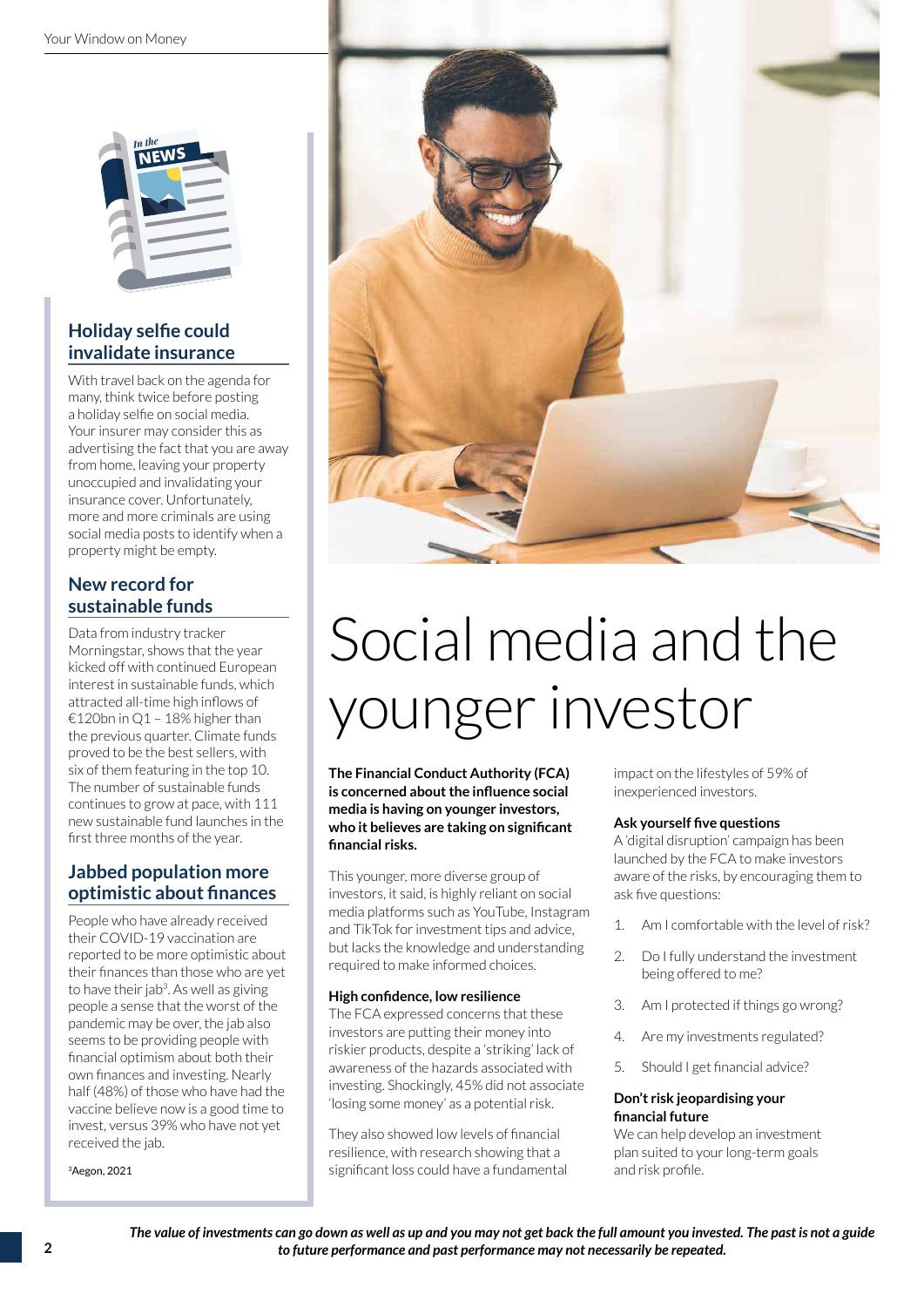

### **Holiday selfie could invalidate insurance**

With travel back on the agenda for many, think twice before posting a holiday selfie on social media. Your insurer may consider this as advertising the fact that you are away from home, leaving your property unoccupied and invalidating your insurance cover. Unfortunately, more and more criminals are using social media posts to identify when a property might be empty.

#### **New record for sustainable funds**

Data from industry tracker Morningstar, shows that the year kicked off with continued European interest in sustainable funds, which attracted all-time high inflows of €120bn in Q1 – 18% higher than the previous quarter. Climate funds proved to be the best sellers, with six of them featuring in the top 10. The number of sustainable funds continues to grow at pace, with 111 new sustainable fund launches in the first three months of the year.

#### **Jabbed population more optimistic about finances**

People who have already received their COVID-19 vaccination are reported to be more optimistic about their finances than those who are yet to have their jab<sup>3</sup>. As well as giving people a sense that the worst of the pandemic may be over, the jab also seems to be providing people with financial optimism about both their own finances and investing. Nearly half (48%) of those who have had the vaccine believe now is a good time to invest, versus 39% who have not yet received the jab.

<sup>3</sup>Aegon, 2021



# Social media and the younger investor

**The Financial Conduct Authority (FCA) is concerned about the influence social media is having on younger investors, who it believes are taking on significant financial risks.** 

This younger, more diverse group of investors, it said, is highly reliant on social media platforms such as YouTube, Instagram and TikTok for investment tips and advice, but lacks the knowledge and understanding required to make informed choices.

#### **High confidence, low resilience**

The FCA expressed concerns that these investors are putting their money into riskier products, despite a 'striking' lack of awareness of the hazards associated with investing. Shockingly, 45% did not associate 'losing some money' as a potential risk.

They also showed low levels of financial resilience, with research showing that a significant loss could have a fundamental impact on the lifestyles of 59% of inexperienced investors.

#### **Ask yourself five questions**

A 'digital disruption' campaign has been launched by the FCA to make investors aware of the risks, by encouraging them to ask five questions:

- 1. Am I comfortable with the level of risk?
- 2. Do I fully understand the investment being offered to me?
- 3. Am I protected if things go wrong?
- 4. Are my investments regulated?
- 5. Should I get financial advice?

#### **Don't risk jeopardising your financial future**

We can help develop an investment plan suited to your long-term goals and risk profile.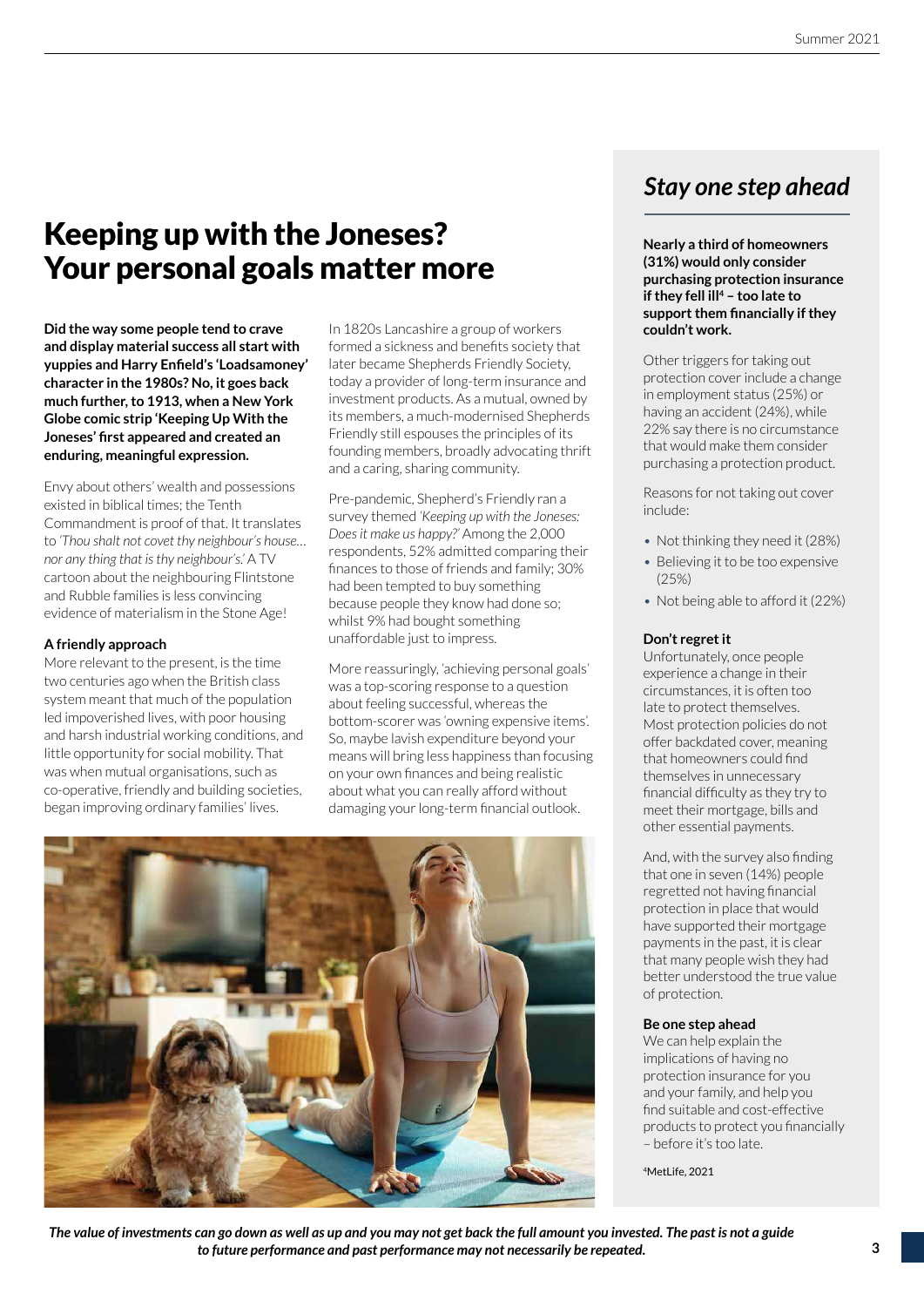## Keeping up with the Joneses? Your personal goals matter more

**Did the way some people tend to crave and display material success all start with yuppies and Harry Enfield's 'Loadsamoney' character in the 1980s? No, it goes back much further, to 1913, when a New York Globe comic strip 'Keeping Up With the Joneses' first appeared and created an enduring, meaningful expression.**

Envy about others' wealth and possessions existed in biblical times; the Tenth Commandment is proof of that. It translates to *'Thou shalt not covet thy neighbour's house… nor any thing that is thy neighbour's.'* A TV cartoon about the neighbouring Flintstone and Rubble families is less convincing evidence of materialism in the Stone Age!

#### **A friendly approach**

More relevant to the present, is the time two centuries ago when the British class system meant that much of the population led impoverished lives, with poor housing and harsh industrial working conditions, and little opportunity for social mobility. That was when mutual organisations, such as co-operative, friendly and building societies, began improving ordinary families' lives.

In 1820s Lancashire a group of workers formed a sickness and benefits society that later became Shepherds Friendly Society, today a provider of long-term insurance and investment products. As a mutual, owned by its members, a much-modernised Shepherds Friendly still espouses the principles of its founding members, broadly advocating thrift and a caring, sharing community.

Pre-pandemic, Shepherd's Friendly ran a survey themed *'Keeping up with the Joneses: Does it make us happy?'* Among the 2,000 respondents, 52% admitted comparing their finances to those of friends and family; 30% had been tempted to buy something because people they know had done so; whilst 9% had bought something unaffordable just to impress.

More reassuringly, 'achieving personal goals' was a top-scoring response to a question about feeling successful, whereas the bottom-scorer was 'owning expensive items'. So, maybe lavish expenditure beyond your means will bring less happiness than focusing on your own finances and being realistic about what you can really afford without damaging your long-term financial outlook.



## *Stay one step ahead*

**Nearly a third of homeowners (31%) would only consider purchasing protection insurance if they fell ill<sup>4</sup> – too late to support them financially if they couldn't work.**

Other triggers for taking out protection cover include a change in employment status (25%) or having an accident (24%), while 22% say there is no circumstance that would make them consider purchasing a protection product.

Reasons for not taking out cover include:

- Not thinking they need it (28%)
- Believing it to be too expensive (25%)
- Not being able to afford it (22%)

#### **Don't regret it**

Unfortunately, once people experience a change in their circumstances, it is often too late to protect themselves. Most protection policies do not offer backdated cover, meaning that homeowners could find themselves in unnecessary financial difficulty as they try to meet their mortgage, bills and other essential payments.

And, with the survey also finding that one in seven (14%) people regretted not having financial protection in place that would have supported their mortgage payments in the past, it is clear that many people wish they had better understood the true value of protection.

#### **Be one step ahead**

We can help explain the implications of having no protection insurance for you and your family, and help you find suitable and cost-effective products to protect you financially – before it's too late.

<sup>4</sup>MetLife, 2021

*The value of investments can go down as well as up and you may not get back the full amount you invested. The past is not a guide to future performance and past performance may not necessarily be repeated.*